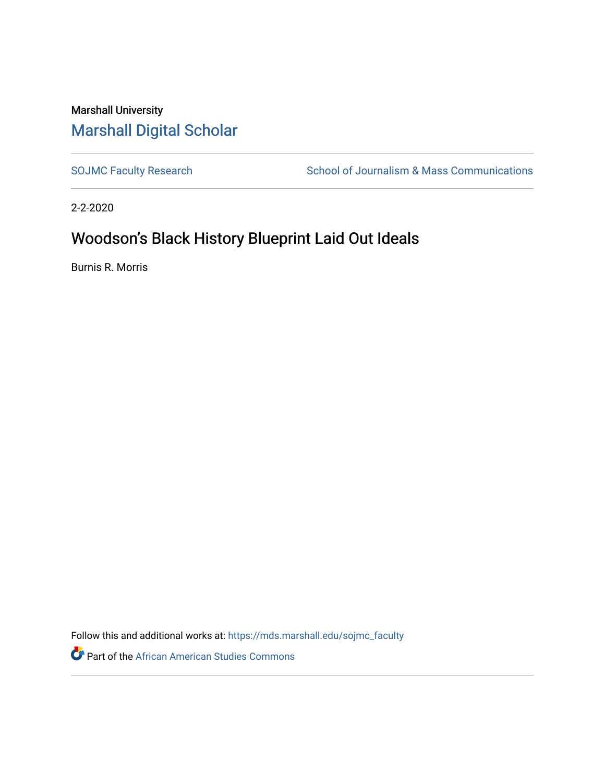## Marshall University [Marshall Digital Scholar](https://mds.marshall.edu/)

[SOJMC Faculty Research](https://mds.marshall.edu/sojmc_faculty) School of Journalism & Mass Communications

2-2-2020

## Woodson's Black History Blueprint Laid Out Ideals

Burnis R. Morris

Follow this and additional works at: [https://mds.marshall.edu/sojmc\\_faculty](https://mds.marshall.edu/sojmc_faculty?utm_source=mds.marshall.edu%2Fsojmc_faculty%2F7&utm_medium=PDF&utm_campaign=PDFCoverPages) 

**Part of the African American Studies Commons**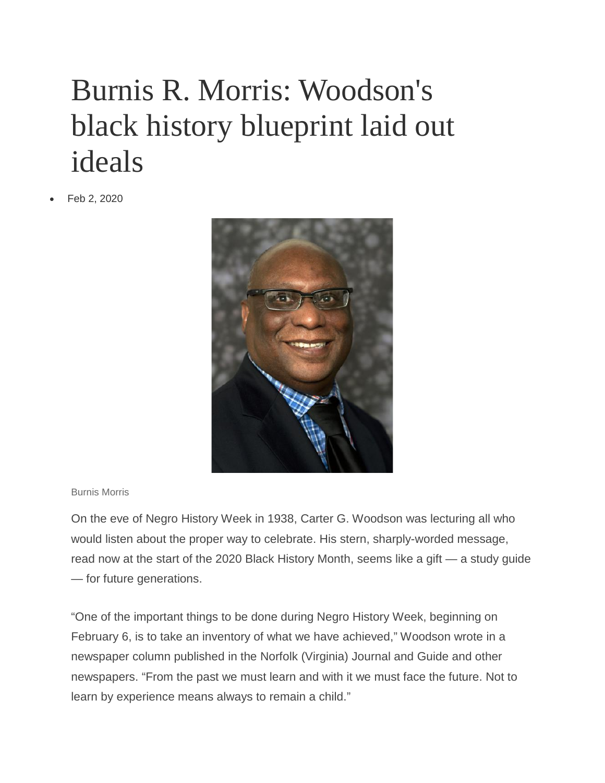## Burnis R. Morris: Woodson's black history blueprint laid out ideals

• Feb 2, 2020



## Burnis Morris

On the eve of Negro History Week in 1938, Carter G. Woodson was lecturing all who would listen about the proper way to celebrate. His stern, sharply-worded message, read now at the start of the 2020 Black History Month, seems like a gift — a study guide — for future generations.

"One of the important things to be done during Negro History Week, beginning on February 6, is to take an inventory of what we have achieved," Woodson wrote in a newspaper column published in the Norfolk (Virginia) Journal and Guide and other newspapers. "From the past we must learn and with it we must face the future. Not to learn by experience means always to remain a child."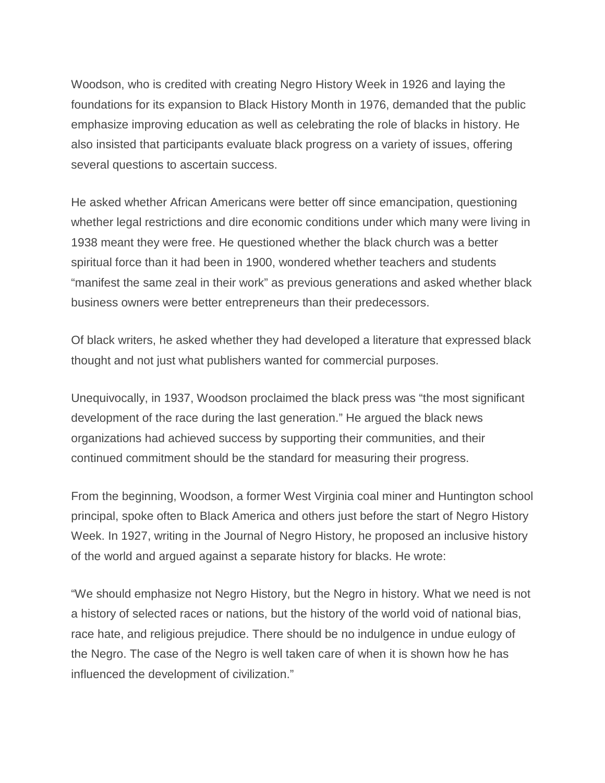Woodson, who is credited with creating Negro History Week in 1926 and laying the foundations for its expansion to Black History Month in 1976, demanded that the public emphasize improving education as well as celebrating the role of blacks in history. He also insisted that participants evaluate black progress on a variety of issues, offering several questions to ascertain success.

He asked whether African Americans were better off since emancipation, questioning whether legal restrictions and dire economic conditions under which many were living in 1938 meant they were free. He questioned whether the black church was a better spiritual force than it had been in 1900, wondered whether teachers and students "manifest the same zeal in their work" as previous generations and asked whether black business owners were better entrepreneurs than their predecessors.

Of black writers, he asked whether they had developed a literature that expressed black thought and not just what publishers wanted for commercial purposes.

Unequivocally, in 1937, Woodson proclaimed the black press was "the most significant development of the race during the last generation." He argued the black news organizations had achieved success by supporting their communities, and their continued commitment should be the standard for measuring their progress.

From the beginning, Woodson, a former West Virginia coal miner and Huntington school principal, spoke often to Black America and others just before the start of Negro History Week. In 1927, writing in the Journal of Negro History, he proposed an inclusive history of the world and argued against a separate history for blacks. He wrote:

"We should emphasize not Negro History, but the Negro in history. What we need is not a history of selected races or nations, but the history of the world void of national bias, race hate, and religious prejudice. There should be no indulgence in undue eulogy of the Negro. The case of the Negro is well taken care of when it is shown how he has influenced the development of civilization."